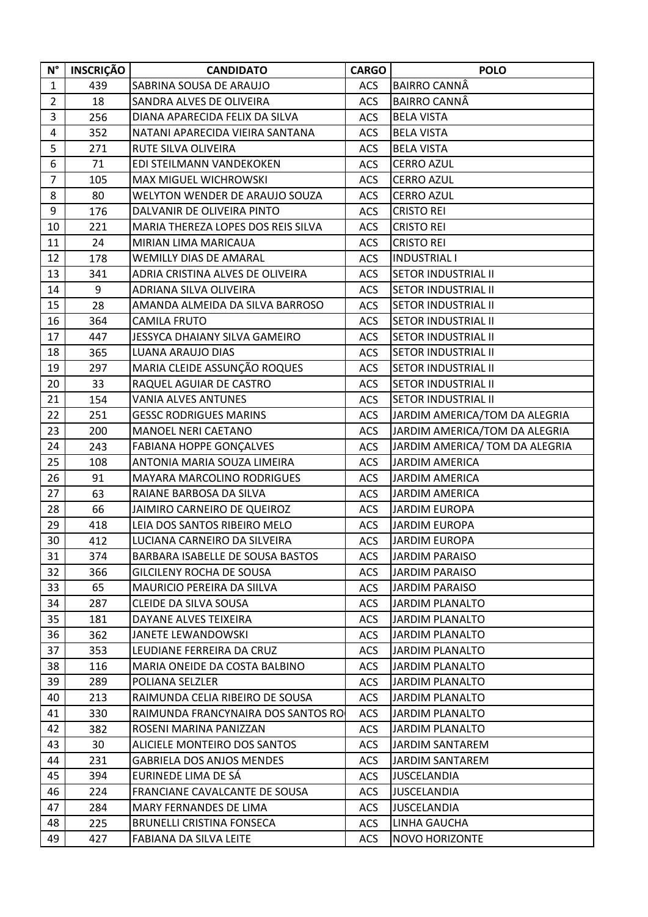| $\mathsf{N}^\circ$ | <b>INSCRIÇÃO</b> | <b>CANDIDATO</b>                   | <b>CARGO</b> | <b>POLO</b>                    |
|--------------------|------------------|------------------------------------|--------------|--------------------------------|
| $\mathbf{1}$       | 439              | SABRINA SOUSA DE ARAUJO            | <b>ACS</b>   | <b>BAIRRO CANNÂ</b>            |
| $\overline{2}$     | 18               | SANDRA ALVES DE OLIVEIRA           | <b>ACS</b>   | <b>BAIRRO CANNÂ</b>            |
| 3                  | 256              | DIANA APARECIDA FELIX DA SILVA     | <b>ACS</b>   | <b>BELA VISTA</b>              |
| 4                  | 352              | NATANI APARECIDA VIEIRA SANTANA    | ACS          | <b>BELA VISTA</b>              |
| 5                  | 271              | RUTE SILVA OLIVEIRA                | <b>ACS</b>   | <b>BELA VISTA</b>              |
| 6                  | 71               | EDI STEILMANN VANDEKOKEN           | ACS          | <b>CERRO AZUL</b>              |
| $\overline{7}$     | 105              | <b>MAX MIGUEL WICHROWSKI</b>       | <b>ACS</b>   | <b>CERRO AZUL</b>              |
| 8                  | 80               | WELYTON WENDER DE ARAUJO SOUZA     | <b>ACS</b>   | <b>CERRO AZUL</b>              |
| 9                  | 176              | DALVANIR DE OLIVEIRA PINTO         | <b>ACS</b>   | <b>CRISTO REI</b>              |
| 10                 | 221              | MARIA THEREZA LOPES DOS REIS SILVA | <b>ACS</b>   | <b>CRISTO REI</b>              |
| 11                 | 24               | MIRIAN LIMA MARICAUA               | ACS          | <b>CRISTO REI</b>              |
| 12                 | 178              | <b>WEMILLY DIAS DE AMARAL</b>      | <b>ACS</b>   | <b>INDUSTRIAL I</b>            |
| 13                 | 341              | ADRIA CRISTINA ALVES DE OLIVEIRA   | <b>ACS</b>   | <b>SETOR INDUSTRIAL II</b>     |
| 14                 | 9                | ADRIANA SILVA OLIVEIRA             | <b>ACS</b>   | <b>SETOR INDUSTRIAL II</b>     |
| 15                 | 28               | AMANDA ALMEIDA DA SILVA BARROSO    | <b>ACS</b>   | <b>SETOR INDUSTRIAL II</b>     |
| 16                 | 364              | CAMILA FRUTO                       | ACS          | <b>SETOR INDUSTRIAL II</b>     |
| 17                 | 447              | JESSYCA DHAIANY SILVA GAMEIRO      | <b>ACS</b>   | <b>SETOR INDUSTRIAL II</b>     |
| 18                 | 365              | <b>LUANA ARAUJO DIAS</b>           | <b>ACS</b>   | <b>SETOR INDUSTRIAL II</b>     |
| 19                 | 297              | MARIA CLEIDE ASSUNÇÃO ROQUES       | <b>ACS</b>   | <b>SETOR INDUSTRIAL II</b>     |
| 20                 | 33               | RAQUEL AGUIAR DE CASTRO            | <b>ACS</b>   | <b>SETOR INDUSTRIAL II</b>     |
| 21                 | 154              | <b>VANIA ALVES ANTUNES</b>         | ACS          | <b>SETOR INDUSTRIAL II</b>     |
| 22                 | 251              | <b>GESSC RODRIGUES MARINS</b>      | <b>ACS</b>   | JARDIM AMERICA/TOM DA ALEGRIA  |
| 23                 | 200              | <b>MANOEL NERI CAETANO</b>         | <b>ACS</b>   | JARDIM AMERICA/TOM DA ALEGRIA  |
| 24                 | 243              | <b>FABIANA HOPPE GONÇALVES</b>     | <b>ACS</b>   | JARDIM AMERICA/ TOM DA ALEGRIA |
| 25                 | 108              | ANTONIA MARIA SOUZA LIMEIRA        | <b>ACS</b>   | <b>JARDIM AMERICA</b>          |
| 26                 | 91               | MAYARA MARCOLINO RODRIGUES         | ACS          | <b>JARDIM AMERICA</b>          |
| 27                 | 63               | RAIANE BARBOSA DA SILVA            | <b>ACS</b>   | <b>JARDIM AMERICA</b>          |
| 28                 | 66               | JAIMIRO CARNEIRO DE QUEIROZ        | <b>ACS</b>   | <b>JARDIM EUROPA</b>           |
| 29                 | 418              | LEIA DOS SANTOS RIBEIRO MELO       | ACS          | <b>JARDIM EUROPA</b>           |
| 30                 | 412              | LUCIANA CARNEIRO DA SILVEIRA       | <b>ACS</b>   | <b>JARDIM EUROPA</b>           |
| 31                 | 374              | BARBARA ISABELLE DE SOUSA BASTOS   | <b>ACS</b>   | <b>JARDIM PARAISO</b>          |
| 32                 | 366              | GILCILENY ROCHA DE SOUSA           | ACS          | <b>JARDIM PARAISO</b>          |
| 33                 | 65               | MAURICIO PEREIRA DA SIILVA         | ACS          | <b>JARDIM PARAISO</b>          |
| 34                 | 287              | <b>CLEIDE DA SILVA SOUSA</b>       | <b>ACS</b>   | <b>JARDIM PLANALTO</b>         |
| 35                 | 181              | DAYANE ALVES TEIXEIRA              | <b>ACS</b>   | <b>JARDIM PLANALTO</b>         |
| 36                 | 362              | JANETE LEWANDOWSKI                 | <b>ACS</b>   | <b>JARDIM PLANALTO</b>         |
| 37                 | 353              | LEUDIANE FERREIRA DA CRUZ          | <b>ACS</b>   | <b>JARDIM PLANALTO</b>         |
| 38                 | 116              | MARIA ONEIDE DA COSTA BALBINO      | <b>ACS</b>   | <b>JARDIM PLANALTO</b>         |
| 39                 | 289              | POLIANA SELZLER                    | <b>ACS</b>   | <b>JARDIM PLANALTO</b>         |
| 40                 | 213              | RAIMUNDA CELIA RIBEIRO DE SOUSA    | <b>ACS</b>   | <b>JARDIM PLANALTO</b>         |
| 41                 | 330              | RAIMUNDA FRANCYNAIRA DOS SANTOS RO | <b>ACS</b>   | <b>JARDIM PLANALTO</b>         |
| 42                 | 382              | ROSENI MARINA PANIZZAN             | ACS          | <b>JARDIM PLANALTO</b>         |
| 43                 | 30               | ALICIELE MONTEIRO DOS SANTOS       | <b>ACS</b>   | <b>JARDIM SANTAREM</b>         |
| 44                 | 231              | <b>GABRIELA DOS ANJOS MENDES</b>   | <b>ACS</b>   | <b>JARDIM SANTAREM</b>         |
| 45                 | 394              | EURINEDE LIMA DE SÁ                | ACS          | <b>JUSCELANDIA</b>             |
| 46                 | 224              | FRANCIANE CAVALCANTE DE SOUSA      | <b>ACS</b>   | <b>JUSCELANDIA</b>             |
| 47                 | 284              | MARY FERNANDES DE LIMA             | ACS          | <b>JUSCELANDIA</b>             |
| 48                 | 225              | <b>BRUNELLI CRISTINA FONSECA</b>   | <b>ACS</b>   | <b>LINHA GAUCHA</b>            |
| 49                 | 427              | FABIANA DA SILVA LEITE             | ACS          | <b>NOVO HORIZONTE</b>          |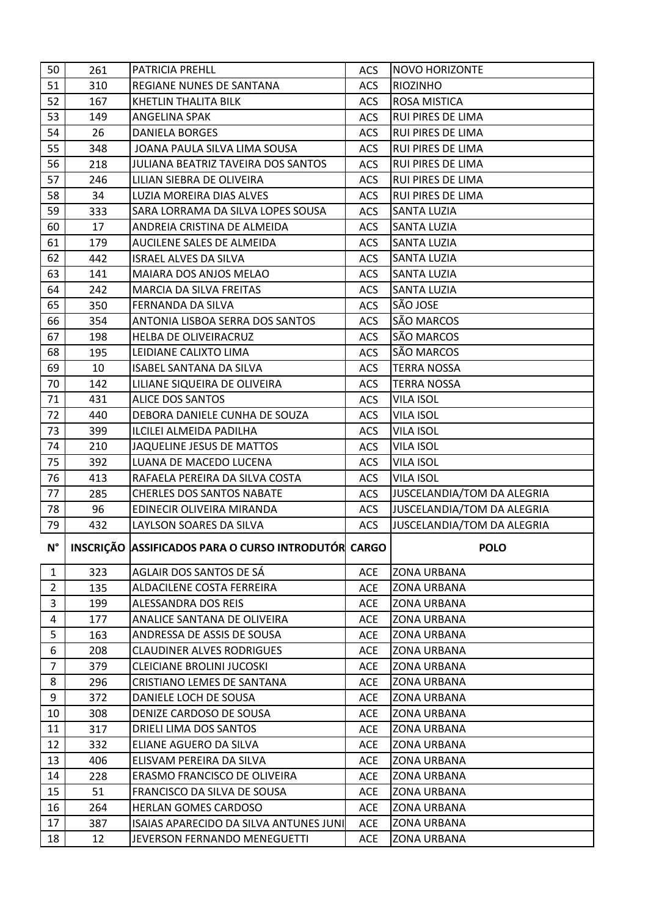| 50             | 261 | <b>PATRICIA PREHLL</b>                              | ACS        | <b>NOVO HORIZONTE</b>      |
|----------------|-----|-----------------------------------------------------|------------|----------------------------|
| 51             | 310 | REGIANE NUNES DE SANTANA                            | <b>ACS</b> | <b>RIOZINHO</b>            |
| 52             | 167 | KHETLIN THALITA BILK                                | <b>ACS</b> | <b>ROSA MISTICA</b>        |
| 53             | 149 | ANGELINA SPAK                                       | <b>ACS</b> | <b>RUI PIRES DE LIMA</b>   |
| 54             | 26  | <b>DANIELA BORGES</b>                               | <b>ACS</b> | <b>RUI PIRES DE LIMA</b>   |
| 55             | 348 | JOANA PAULA SILVA LIMA SOUSA                        | <b>ACS</b> | <b>RUI PIRES DE LIMA</b>   |
| 56             | 218 | JULIANA BEATRIZ TAVEIRA DOS SANTOS                  | <b>ACS</b> | <b>RUI PIRES DE LIMA</b>   |
| 57             | 246 | LILIAN SIEBRA DE OLIVEIRA                           | <b>ACS</b> | <b>RUI PIRES DE LIMA</b>   |
| 58             | 34  | LUZIA MOREIRA DIAS ALVES                            | ACS        | <b>RUI PIRES DE LIMA</b>   |
| 59             | 333 | SARA LORRAMA DA SILVA LOPES SOUSA                   | <b>ACS</b> | <b>SANTA LUZIA</b>         |
| 60             | 17  | ANDREIA CRISTINA DE ALMEIDA                         | <b>ACS</b> | <b>SANTA LUZIA</b>         |
| 61             | 179 | AUCILENE SALES DE ALMEIDA                           | <b>ACS</b> | <b>SANTA LUZIA</b>         |
| 62             | 442 | <b>ISRAEL ALVES DA SILVA</b>                        | <b>ACS</b> | <b>SANTA LUZIA</b>         |
| 63             | 141 | MAIARA DOS ANJOS MELAO                              | <b>ACS</b> | <b>SANTA LUZIA</b>         |
| 64             | 242 | <b>MARCIA DA SILVA FREITAS</b>                      | <b>ACS</b> | <b>SANTA LUZIA</b>         |
| 65             | 350 | FERNANDA DA SILVA                                   | <b>ACS</b> | SÃO JOSE                   |
| 66             | 354 | ANTONIA LISBOA SERRA DOS SANTOS                     | <b>ACS</b> | SÃO MARCOS                 |
| 67             | 198 | HELBA DE OLIVEIRACRUZ                               | <b>ACS</b> | SÃO MARCOS                 |
| 68             | 195 | LEIDIANE CALIXTO LIMA                               | <b>ACS</b> | SÃO MARCOS                 |
| 69             | 10  | <b>ISABEL SANTANA DA SILVA</b>                      | <b>ACS</b> | <b>TERRA NOSSA</b>         |
| 70             | 142 | LILIANE SIQUEIRA DE OLIVEIRA                        | <b>ACS</b> | <b>TERRA NOSSA</b>         |
| 71             | 431 | <b>ALICE DOS SANTOS</b>                             | ACS        | <b>VILA ISOL</b>           |
| 72             | 440 | DEBORA DANIELE CUNHA DE SOUZA                       | <b>ACS</b> | VILA ISOL                  |
| 73             | 399 | ILCILEI ALMEIDA PADILHA                             | <b>ACS</b> | <b>VILA ISOL</b>           |
| 74             | 210 | JAQUELINE JESUS DE MATTOS                           | <b>ACS</b> | <b>VILA ISOL</b>           |
| 75             | 392 | LUANA DE MACEDO LUCENA                              | <b>ACS</b> | <b>VILA ISOL</b>           |
| 76             | 413 | RAFAELA PEREIRA DA SILVA COSTA                      | ACS        | <b>VILA ISOL</b>           |
| 77             | 285 | <b>CHERLES DOS SANTOS NABATE</b>                    | <b>ACS</b> | JUSCELANDIA/TOM DA ALEGRIA |
| 78             | 96  | EDINECIR OLIVEIRA MIRANDA                           | ACS        | JUSCELANDIA/TOM DA ALEGRIA |
| 79             | 432 | LAYLSON SOARES DA SILVA                             | <b>ACS</b> | JUSCELANDIA/TOM DA ALEGRIA |
| N°             |     | INSCRIÇÃO ASSIFICADOS PARA O CURSO INTRODUTÓR CARGO |            | <b>POLO</b>                |
| $\mathbf{1}$   | 323 | AGLAIR DOS SANTOS DE SÁ                             | <b>ACE</b> | <b>ZONA URBANA</b>         |
| $2^{\circ}$    | 135 | ALDACILENE COSTA FERREIRA                           | ACE        | <b>ZONA URBANA</b>         |
| 3              | 199 | <b>ALESSANDRA DOS REIS</b>                          | <b>ACE</b> | <b>ZONA URBANA</b>         |
| 4              | 177 | ANALICE SANTANA DE OLIVEIRA                         | <b>ACE</b> | <b>ZONA URBANA</b>         |
| 5              | 163 | ANDRESSA DE ASSIS DE SOUSA                          | <b>ACE</b> | <b>ZONA URBANA</b>         |
| 6              | 208 | <b>CLAUDINER ALVES RODRIGUES</b>                    | <b>ACE</b> | <b>ZONA URBANA</b>         |
| $\overline{7}$ | 379 | <b>CLEICIANE BROLINI JUCOSKI</b>                    | <b>ACE</b> | <b>ZONA URBANA</b>         |
| 8              |     |                                                     |            |                            |
|                | 296 | CRISTIANO LEMES DE SANTANA                          | <b>ACE</b> | <b>ZONA URBANA</b>         |
| 9              | 372 | DANIELE LOCH DE SOUSA                               | <b>ACE</b> | <b>ZONA URBANA</b>         |
| 10             | 308 | DENIZE CARDOSO DE SOUSA                             | <b>ACE</b> | <b>ZONA URBANA</b>         |
| 11             | 317 | DRIELI LIMA DOS SANTOS                              | <b>ACE</b> | <b>ZONA URBANA</b>         |
| 12             | 332 | ELIANE AGUERO DA SILVA                              | ACE        | <b>ZONA URBANA</b>         |
| 13             | 406 | ELISVAM PEREIRA DA SILVA                            | <b>ACE</b> | <b>ZONA URBANA</b>         |
| 14             | 228 | ERASMO FRANCISCO DE OLIVEIRA                        | <b>ACE</b> | <b>ZONA URBANA</b>         |
| 15             | 51  | FRANCISCO DA SILVA DE SOUSA                         | <b>ACE</b> | <b>ZONA URBANA</b>         |
| 16             | 264 | HERLAN GOMES CARDOSO                                | <b>ACE</b> | <b>ZONA URBANA</b>         |
| 17             | 387 | ISAIAS APARECIDO DA SILVA ANTUNES JUNI              | ACE        | <b>ZONA URBANA</b>         |